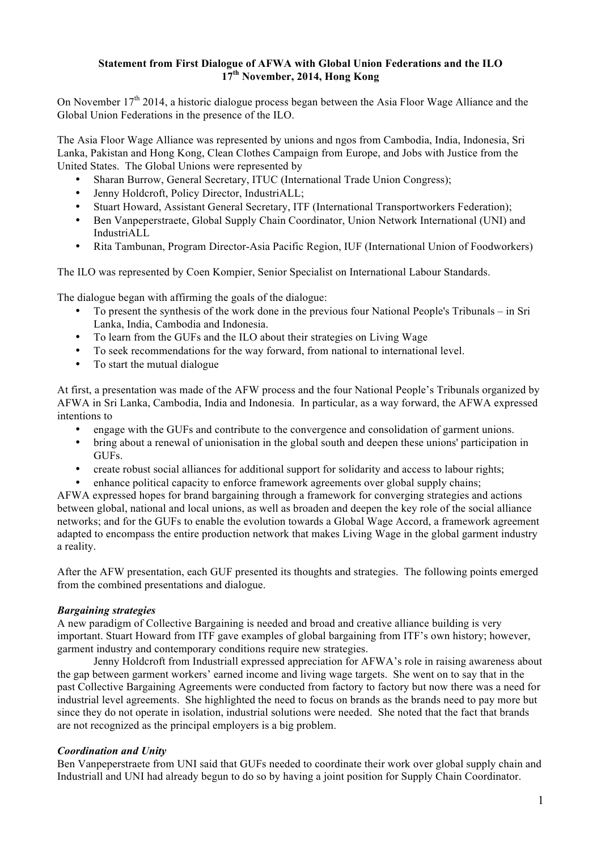# **Statement from First Dialogue of AFWA with Global Union Federations and the ILO 17th November, 2014, Hong Kong**

On November 17<sup>th</sup> 2014, a historic dialogue process began between the Asia Floor Wage Alliance and the Global Union Federations in the presence of the ILO.

The Asia Floor Wage Alliance was represented by unions and ngos from Cambodia, India, Indonesia, Sri Lanka, Pakistan and Hong Kong, Clean Clothes Campaign from Europe, and Jobs with Justice from the United States. The Global Unions were represented by

- Sharan Burrow, General Secretary, ITUC (International Trade Union Congress);
- Jenny Holdcroft, Policy Director, IndustriALL;
- Stuart Howard, Assistant General Secretary, ITF (International Transportworkers Federation);<br>• Ben Vannenerstracte Global Sunnly Chain Coordinator, Union Network International (UNI) a
- Ben Vanpeperstraete, Global Supply Chain Coordinator, Union Network International (UNI) and IndustriALL
- Rita Tambunan, Program Director-Asia Pacific Region, IUF (International Union of Foodworkers)

The ILO was represented by Coen Kompier, Senior Specialist on International Labour Standards.

The dialogue began with affirming the goals of the dialogue:

- To present the synthesis of the work done in the previous four National People's Tribunals in Sri Lanka, India, Cambodia and Indonesia.
- To learn from the GUFs and the ILO about their strategies on Living Wage
- To seek recommendations for the way forward, from national to international level.
- To start the mutual dialogue

At first, a presentation was made of the AFW process and the four National People's Tribunals organized by AFWA in Sri Lanka, Cambodia, India and Indonesia. In particular, as a way forward, the AFWA expressed intentions to

- engage with the GUFs and contribute to the convergence and consolidation of garment unions.
- bring about a renewal of unionisation in the global south and deepen these unions' participation in GUFs.
- create robust social alliances for additional support for solidarity and access to labour rights;
- enhance political capacity to enforce framework agreements over global supply chains;

AFWA expressed hopes for brand bargaining through a framework for converging strategies and actions between global, national and local unions, as well as broaden and deepen the key role of the social alliance networks; and for the GUFs to enable the evolution towards a Global Wage Accord, a framework agreement adapted to encompass the entire production network that makes Living Wage in the global garment industry a reality.

After the AFW presentation, each GUF presented its thoughts and strategies. The following points emerged from the combined presentations and dialogue.

## *Bargaining strategies*

A new paradigm of Collective Bargaining is needed and broad and creative alliance building is very important. Stuart Howard from ITF gave examples of global bargaining from ITF's own history; however, garment industry and contemporary conditions require new strategies.

Jenny Holdcroft from Industriall expressed appreciation for AFWA's role in raising awareness about the gap between garment workers' earned income and living wage targets. She went on to say that in the past Collective Bargaining Agreements were conducted from factory to factory but now there was a need for industrial level agreements. She highlighted the need to focus on brands as the brands need to pay more but since they do not operate in isolation, industrial solutions were needed. She noted that the fact that brands are not recognized as the principal employers is a big problem.

## *Coordination and Unity*

Ben Vanpeperstraete from UNI said that GUFs needed to coordinate their work over global supply chain and Industriall and UNI had already begun to do so by having a joint position for Supply Chain Coordinator.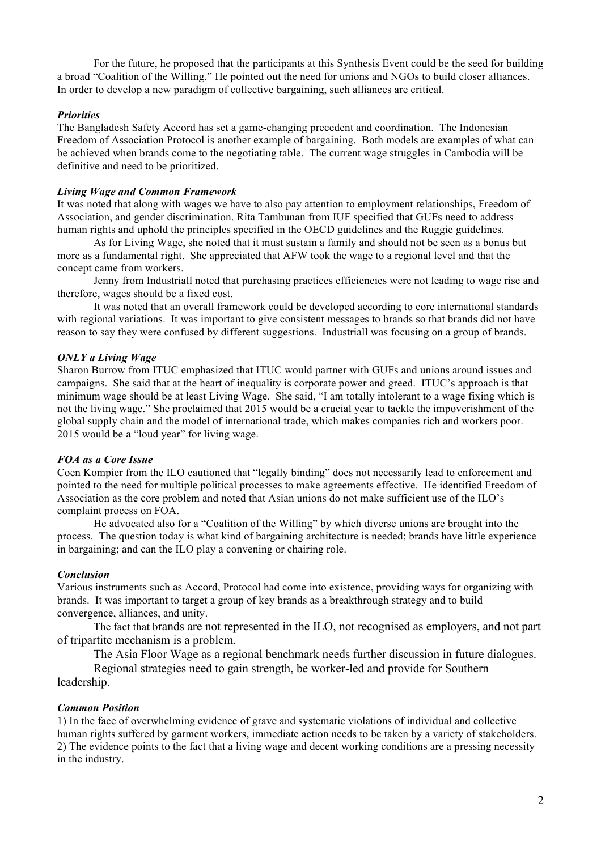For the future, he proposed that the participants at this Synthesis Event could be the seed for building a broad "Coalition of the Willing." He pointed out the need for unions and NGOs to build closer alliances. In order to develop a new paradigm of collective bargaining, such alliances are critical.

## *Priorities*

The Bangladesh Safety Accord has set a game-changing precedent and coordination. The Indonesian Freedom of Association Protocol is another example of bargaining. Both models are examples of what can be achieved when brands come to the negotiating table. The current wage struggles in Cambodia will be definitive and need to be prioritized.

### *Living Wage and Common Framework*

It was noted that along with wages we have to also pay attention to employment relationships, Freedom of Association, and gender discrimination. Rita Tambunan from IUF specified that GUFs need to address human rights and uphold the principles specified in the OECD guidelines and the Ruggie guidelines.

As for Living Wage, she noted that it must sustain a family and should not be seen as a bonus but more as a fundamental right. She appreciated that AFW took the wage to a regional level and that the concept came from workers.

Jenny from Industriall noted that purchasing practices efficiencies were not leading to wage rise and therefore, wages should be a fixed cost.

It was noted that an overall framework could be developed according to core international standards with regional variations. It was important to give consistent messages to brands so that brands did not have reason to say they were confused by different suggestions. Industriall was focusing on a group of brands.

### *ONLY a Living Wage*

Sharon Burrow from ITUC emphasized that ITUC would partner with GUFs and unions around issues and campaigns. She said that at the heart of inequality is corporate power and greed. ITUC's approach is that minimum wage should be at least Living Wage. She said, "I am totally intolerant to a wage fixing which is not the living wage." She proclaimed that 2015 would be a crucial year to tackle the impoverishment of the global supply chain and the model of international trade, which makes companies rich and workers poor. 2015 would be a "loud year" for living wage.

### *FOA as a Core Issue*

Coen Kompier from the ILO cautioned that "legally binding" does not necessarily lead to enforcement and pointed to the need for multiple political processes to make agreements effective. He identified Freedom of Association as the core problem and noted that Asian unions do not make sufficient use of the ILO's complaint process on FOA.

He advocated also for a "Coalition of the Willing" by which diverse unions are brought into the process. The question today is what kind of bargaining architecture is needed; brands have little experience in bargaining; and can the ILO play a convening or chairing role.

#### *Conclusion*

Various instruments such as Accord, Protocol had come into existence, providing ways for organizing with brands. It was important to target a group of key brands as a breakthrough strategy and to build convergence, alliances, and unity.

The fact that brands are not represented in the ILO, not recognised as employers, and not part of tripartite mechanism is a problem.

The Asia Floor Wage as a regional benchmark needs further discussion in future dialogues.

Regional strategies need to gain strength, be worker-led and provide for Southern leadership.

#### *Common Position*

1) In the face of overwhelming evidence of grave and systematic violations of individual and collective human rights suffered by garment workers, immediate action needs to be taken by a variety of stakeholders. 2) The evidence points to the fact that a living wage and decent working conditions are a pressing necessity in the industry.